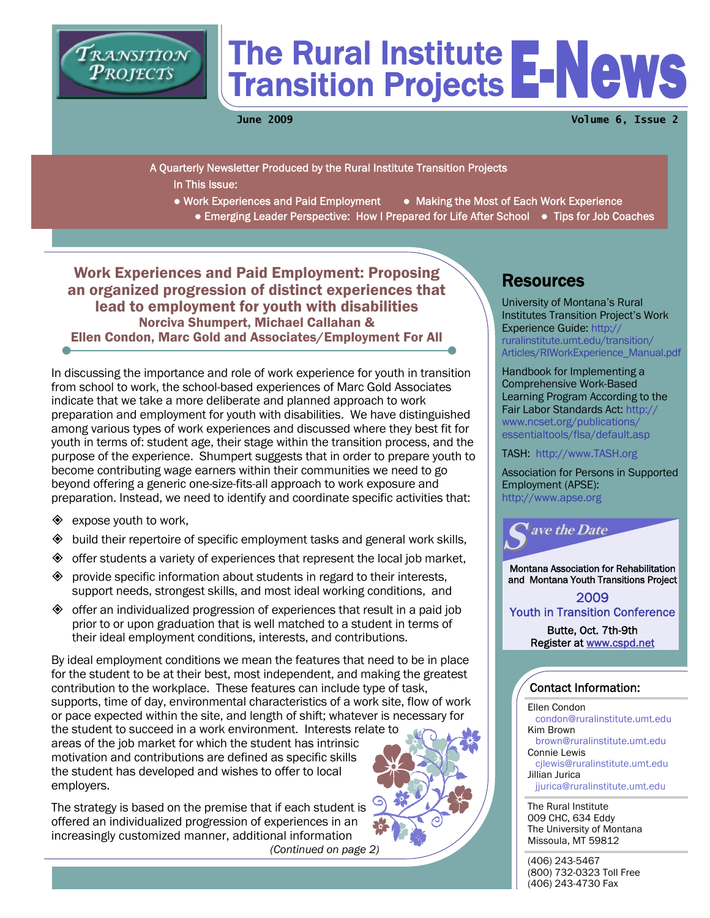

# The Rural Institute Transition Projects

**June 2009 Volume 6, Issue 2** 

A Quarterly Newsletter Produced by the Rural Institute Transition Projects In This Issue:

- Work Experiences and Paid Employment Making the Most of Each Work Experience
	- Emerging Leader Perspective: How I Prepared for Life After School Tips for Job Coaches

Work Experiences and Paid Employment: Proposing an organized progression of distinct experiences that lead to employment for youth with disabilities<br>Norciva Shumpert, Michael Callahan & Ellen Condon, Marc Gold and Associates/Employment For All

In discussing the importance and role of work experience for youth in transition from school to work, the school-based experiences of Marc Gold Associates indicate that we take a more deliberate and planned approach to work preparation and employment for youth with disabilities. We have distinguished among various types of work experiences and discussed where they best fit for youth in terms of: student age, their stage within the transition process, and the purpose of the experience. Shumpert suggests that in order to prepare youth to become contributing wage earners within their communities we need to go beyond offering a generic one-size-fits-all approach to work exposure and preparation. Instead, we need to identify and coordinate specific activities that:

 $\diamond$  expose youth to work,

employers.

- $\diamondsuit$  build their repertoire of specific employment tasks and general work skills,
- $\diamondsuit$  offer students a variety of experiences that represent the local job market,
- $\diamondsuit$  provide specific information about students in regard to their interests, support needs, strongest skills, and most ideal working conditions, and
- $\diamondsuit$  offer an individualized progression of experiences that result in a paid job prior to or upon graduation that is well matched to a student in terms of their ideal employment conditions, interests, and contributions.

By ideal employment conditions we mean the features that need to be in place for the student to be at their best, most independent, and making the greatest contribution to the workplace. These features can include type of task, supports, time of day, environmental characteristics of a work site, flow of work or pace expected within the site, and length of shift; whatever is necessary for the student to succeed in a work environment. Interests relate to areas of the job market for which the student has intrinsic motivation and contributions are defined as specific skills the student has developed and wishes to offer to local

The strategy is based on the premise that if each student is offered an individualized progression of experiences in an increasingly customized manner, additional information  *(Continued on page 2)*

## **Resources**

University of Montana's Rural Institutes Transition Project's Work Experience Guide: http:// ruralinstitute.umt.edu/transition/ [Articles/RIWorkExperience\\_Manual.pdf](http://ruralinstitute.umt.edu/transition/Articles/RIWorkExperience_Manual.pdf)

Handbook for Implementing a Comprehensive Work-Based Learning Program According to the [Fair Labor Standards Act: http://](http://www.ncset.org/publications/essentialtools/flsa/default.asp) www.ncset.org/publications/ essentialtools/flsa/default.asp

TASH: http://www.TASH.org

Association for Persons in Supported Employment (APSE): http://www.apse.org



Montana Association for Rehabilitation and Montana Youth Transitions Project

2009 Youth in Transition Conference

> Butte, Oct. 7th-9th Register at www.cspd.net

#### Contact Information:

Ellen Condon condon@ruralinstitute.umt.edu Kim Brown brown@ruralinstitute.umt.edu Connie Lewis cjlewis@ruralinstitute.umt.edu Jillian Jurica jjurica@ruralinstitute.umt.edu

The Rural Institute 009 CHC, 634 Eddy The University of Montana Missoula, MT 59812

(406) 243-5467 (800) 732-0323 Toll Free (406) 243-4730 Fax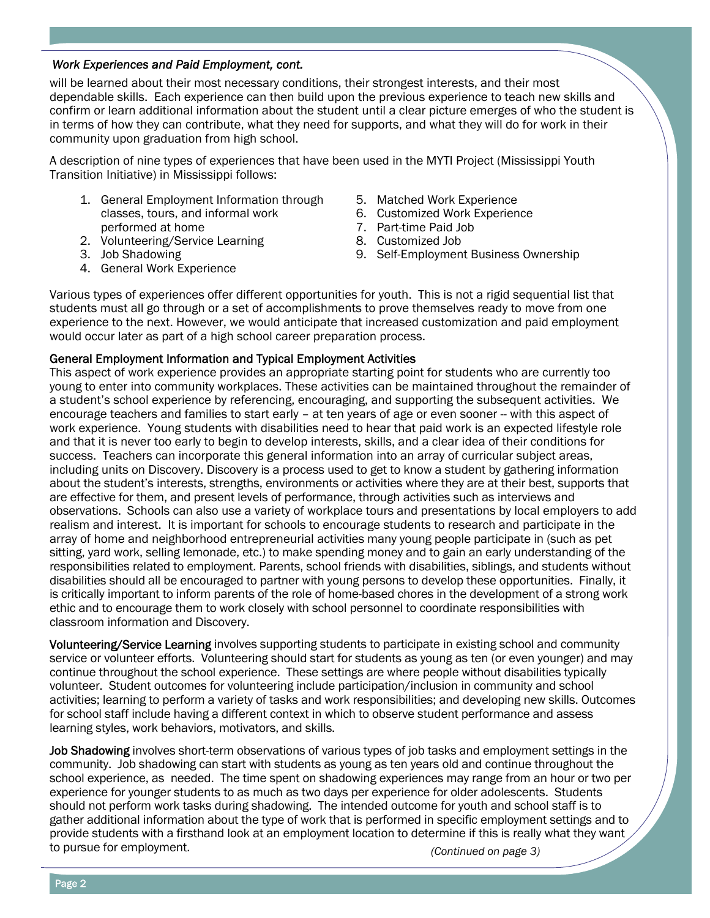will be learned about their most necessary conditions, their strongest interests, and their most dependable skills. Each experience can then build upon the previous experience to teach new skills and confirm or learn additional information about the student until a clear picture emerges of who the student is in terms of how they can contribute, what they need for supports, and what they will do for work in their community upon graduation from high school.

A description of nine types of experiences that have been used in the MYTI Project (Mississippi Youth Transition Initiative) in Mississippi follows:

- 1. General Employment Information through classes, tours, and informal work performed at home
- 2. Volunteering/Service Learning
- 3. Job Shadowing
- 4. General Work Experience
- 5. Matched Work Experience
- 6. Customized Work Experience
- 7. Part-time Paid Job
- 8. Customized Job
- 9. Self-Employment Business Ownership

Various types of experiences offer different opportunities for youth. This is not a rigid sequential list that students must all go through or a set of accomplishments to prove themselves ready to move from one experience to the next. However, we would anticipate that increased customization and paid employment would occur later as part of a high school career preparation process.

#### General Employment Information and Typical Employment Activities

This aspect of work experience provides an appropriate starting point for students who are currently too young to enter into community workplaces. These activities can be maintained throughout the remainder of a student's school experience by referencing, encouraging, and supporting the subsequent activities. We encourage teachers and families to start early - at ten years of age or even sooner -- with this aspect of work experience. Young students with disabilities need to hear that paid work is an expected lifestyle role and that it is never too early to begin to develop interests, skills, and a clear idea of their conditions for success. Teachers can incorporate this general information into an array of curricular subject areas, including units on Discovery. Discovery is a process used to get to know a student by gathering information about the student's interests, strengths, environments or activities where they are at their best, supports that are effective for them, and present levels of performance, through activities such as interviews and observations. Schools can also use a variety of workplace tours and presentations by local employers to add realism and interest. It is important for schools to encourage students to research and participate in the array of home and neighborhood entrepreneurial activities many young people participate in (such as pet sitting, yard work, selling lemonade, etc.) to make spending money and to gain an early understanding of the responsibilities related to employment. Parents, school friends with disabilities, siblings, and students without disabilities should all be encouraged to partner with young persons to develop these opportunities. Finally, it is critically important to inform parents of the role of home-based chores in the development of a strong work ethic and to encourage them to work closely with school personnel to coordinate responsibilities with classroom information and Discovery.

Volunteering/Service Learning involves supporting students to participate in existing school and community service or volunteer efforts. Volunteering should start for students as young as ten (or even younger) and may continue throughout the school experience. These settings are where people without disabilities typically volunteer. Student outcomes for volunteering include participation/inclusion in community and school activities; learning to perform a variety of tasks and work responsibilities; and developing new skills. Outcomes for school staff include having a different context in which to observe student performance and assess learning styles, work behaviors, motivators, and skills.

Job Shadowing involves short-term observations of various types of job tasks and employment settings in the community. Job shadowing can start with students as young as ten years old and continue throughout the school experience, as needed. The time spent on shadowing experiences may range from an hour or two per experience for younger students to as much as two days per experience for older adolescents. Students should not perform work tasks during shadowing. The intended outcome for youth and school staff is to gather additional information about the type of work that is performed in specific employment settings and to provide students with a firsthand look at an employment location to determine if this is really what they want to pursue for employment.

 *(Continued on page 3)*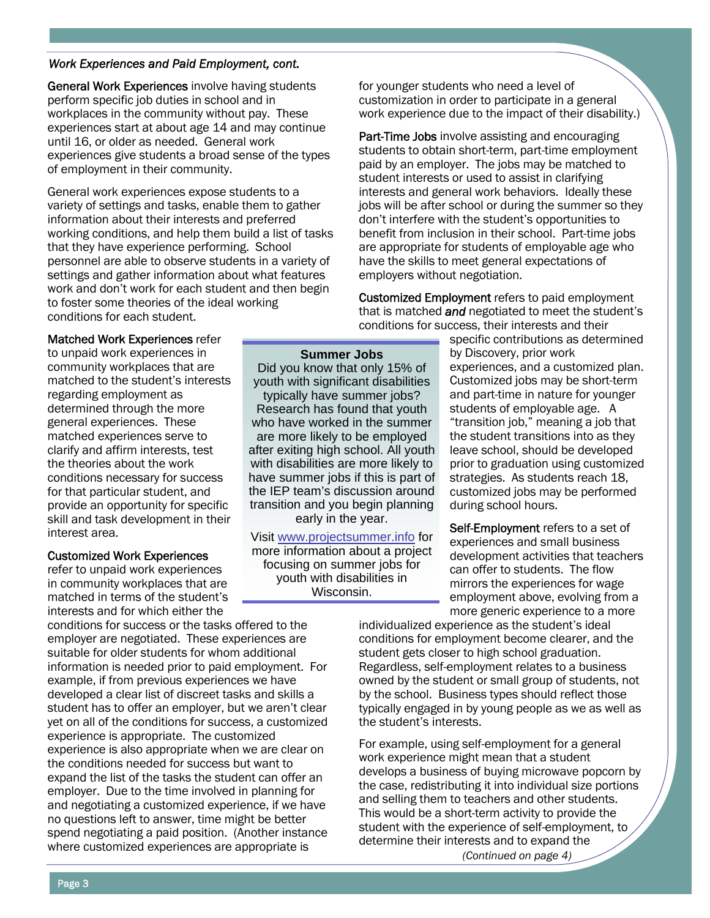General Work Experiences involve having students perform specific job duties in school and in workplaces in the community without pay. These experiences start at about age 14 and may continue until 16, or older as needed. General work experiences give students a broad sense of the types of employment in their community.

General work experiences expose students to a variety of settings and tasks, enable them to gather information about their interests and preferred working conditions, and help them build a list of tasks that they have experience performing. School personnel are able to observe students in a variety of settings and gather information about what features work and don't work for each student and then begin to foster some theories of the ideal working conditions for each student.

for younger students who need a level of customization in order to participate in a general work experience due to the impact of their disability.)

Part-Time Jobs involve assisting and encouraging students to obtain short-term, part-time employment paid by an employer. The jobs may be matched to student interests or used to assist in clarifying interests and general work behaviors. Ideally these jobs will be after school or during the summer so they don't interfere with the student's opportunities to benefit from inclusion in their school. Part-time jobs are appropriate for students of employable age who have the skills to meet general expectations of employers without negotiation.

Customized Employment refers to paid employment that is matched *and* negotiated to meet the student's conditions for success, their interests and their

#### Matched Work Experiences refer

to unpaid work experiences in community workplaces that are matched to the student's interests regarding employment as determined through the more general experiences. These matched experiences serve to clarify and affirm interests, test the theories about the work conditions necessary for success for that particular student, and provide an opportunity for specific skill and task development in their interest area.

#### Customized Work Experiences

refer to unpaid work experiences in community workplaces that are matched in terms of the student's interests and for which either the

conditions for success or the tasks offered to the employer are negotiated. These experiences are suitable for older students for whom additional information is needed prior to paid employment. For example, if from previous experiences we have developed a clear list of discreet tasks and skills a student has to offer an employer, but we aren't clear yet on all of the conditions for success, a customized experience is appropriate. The customized experience is also appropriate when we are clear on the conditions needed for success but want to expand the list of the tasks the student can offer an employer. Due to the time involved in planning for and negotiating a customized experience, if we have no questions left to answer, time might be better spend negotiating a paid position. (Another instance where customized experiences are appropriate is

#### **Summer Jobs**

Did you know that only 15% of youth with significant disabilities typically have summer jobs? Research has found that youth who have worked in the summer are more likely to be employed after exiting high school. All youth with disabilities are more likely to have summer jobs if this is part of the IEP team's discussion around transition and you begin planning early in the year.

Visit www.projectsummer.info for more information about a project focusing on summer jobs for youth with disabilities in Wisconsin.

specific contributions as determined by Discovery, prior work experiences, and a customized plan. Customized jobs may be short-term and part-time in nature for younger students of employable age. A "transition job," meaning a job that the student transitions into as they leave school, should be developed prior to graduation using customized strategies. As students reach 18, customized jobs may be performed during school hours.

Self-Employment refers to a set of experiences and small business development activities that teachers can offer to students. The flow mirrors the experiences for wage employment above, evolving from a more generic experience to a more

individualized experience as the student's ideal conditions for employment become clearer, and the student gets closer to high school graduation. Regardless, self-employment relates to a business owned by the student or small group of students, not by the school. Business types should reflect those typically engaged in by young people as we as well as the student's interests.

 *(Continued on page 4)* For example, using self-employment for a general work experience might mean that a student develops a business of buying microwave popcorn by the case, redistributing it into individual size portions and selling them to teachers and other students. This would be a short-term activity to provide the student with the experience of self-employment, to determine their interests and to expand the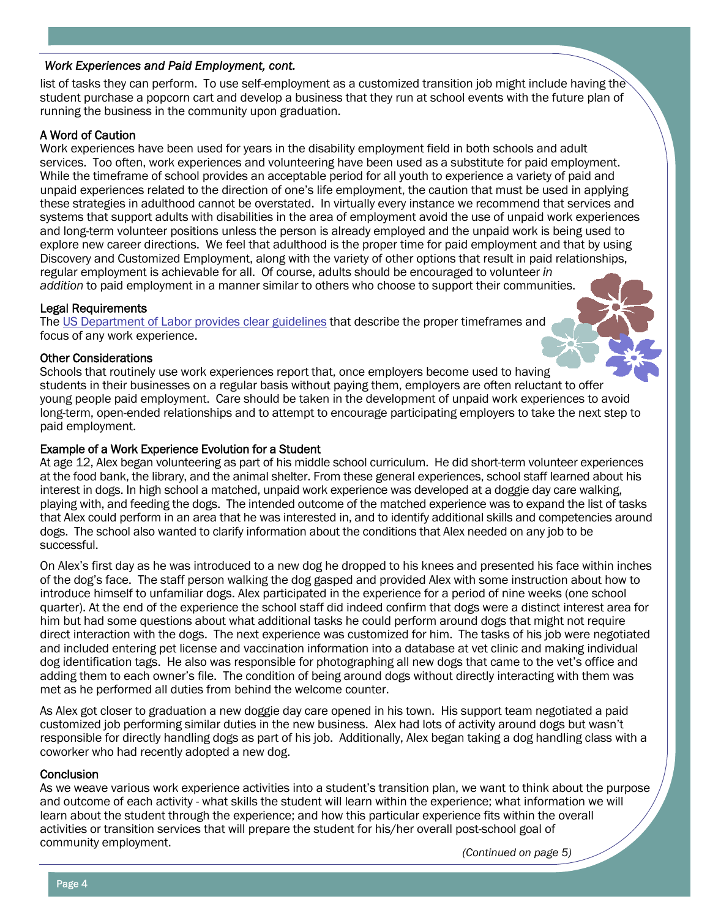list of tasks they can perform. To use self-employment as a customized transition job might include having the student purchase a popcorn cart and develop a business that they run at school events with the future plan of running the business in the community upon graduation.

#### A Word of Caution

Work experiences have been used for years in the disability employment field in both schools and adult services. Too often, work experiences and volunteering have been used as a substitute for paid employment. While the timeframe of school provides an acceptable period for all youth to experience a variety of paid and unpaid experiences related to the direction of one's life employment, the caution that must be used in applying these strategies in adulthood cannot be overstated. In virtually every instance we recommend that services and systems that support adults with disabilities in the area of employment avoid the use of unpaid work experiences and long-term volunteer positions unless the person is already employed and the unpaid work is being used to explore new career directions. We feel that adulthood is the proper time for paid employment and that by using Discovery and Customized Employment, along with the variety of other options that result in paid relationships, regular employment is achievable for all. Of course, adults should be encouraged to volunteer *in addition* to paid employment in a manner similar to others who choose to support their communities.

#### Legal Requirements

The [US Department of Labor provides clear guidelines](http://www.ncset.org/publications/essentialtools/flsa/default.asp) that describe the proper timeframes and focus of any work experience.

#### Other Considerations

Schools that routinely use work experiences report that, once employers become used to having students in their businesses on a regular basis without paying them, employers are often reluctant to offer young people paid employment. Care should be taken in the development of unpaid work experiences to avoid long-term, open-ended relationships and to attempt to encourage participating employers to take the next step to paid employment.

#### Example of a Work Experience Evolution for a Student

At age 12, Alex began volunteering as part of his middle school curriculum. He did short-term volunteer experiences at the food bank, the library, and the animal shelter. From these general experiences, school staff learned about his interest in dogs. In high school a matched, unpaid work experience was developed at a doggie day care walking, playing with, and feeding the dogs. The intended outcome of the matched experience was to expand the list of tasks that Alex could perform in an area that he was interested in, and to identify additional skills and competencies around dogs. The school also wanted to clarify information about the conditions that Alex needed on any job to be successful.

On Alex's first day as he was introduced to a new dog he dropped to his knees and presented his face within inches of the dog's face. The staff person walking the dog gasped and provided Alex with some instruction about how to introduce himself to unfamiliar dogs. Alex participated in the experience for a period of nine weeks (one school quarter). At the end of the experience the school staff did indeed confirm that dogs were a distinct interest area for him but had some questions about what additional tasks he could perform around dogs that might not require direct interaction with the dogs. The next experience was customized for him. The tasks of his job were negotiated and included entering pet license and vaccination information into a database at vet clinic and making individual dog identification tags. He also was responsible for photographing all new dogs that came to the vet's office and adding them to each owner's file. The condition of being around dogs without directly interacting with them was met as he performed all duties from behind the welcome counter.

As Alex got closer to graduation a new doggie day care opened in his town. His support team negotiated a paid customized job performing similar duties in the new business. Alex had lots of activity around dogs but wasn't responsible for directly handling dogs as part of his job. Additionally, Alex began taking a dog handling class with a coworker who had recently adopted a new dog.

#### **Conclusion**

As we weave various work experience activities into a student's transition plan, we want to think about the purpose and outcome of each activity - what skills the student will learn within the experience; what information we will learn about the student through the experience; and how this particular experience fits within the overall activities or transition services that will prepare the student for his/her overall post-school goal of community employment.

 *(Continued on page 5)*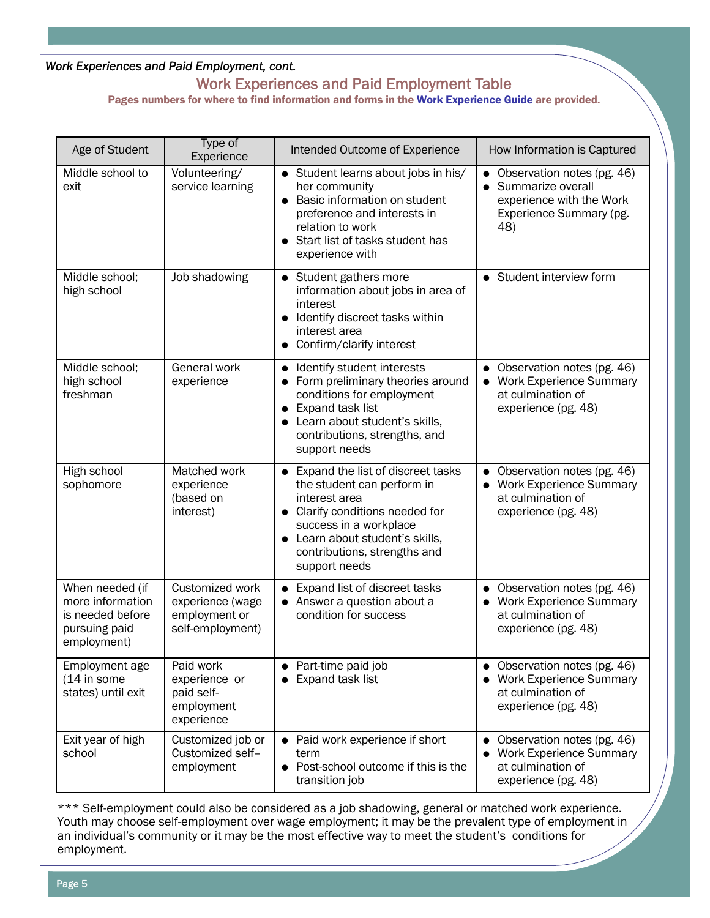# Work Experiences and Paid Employment Table

Pages numbers for where to find information and forms in the [Work Experience Guide](http://ruralinstitute.umt.edu/transition/Articles/RIWorkExperience_Manual.pdf) are provided.

| Age of Student                                                                          | Type of<br>Experience                                                    | Intended Outcome of Experience                                                                                                                                                                                                    | How Information is Captured                                                                                                             |
|-----------------------------------------------------------------------------------------|--------------------------------------------------------------------------|-----------------------------------------------------------------------------------------------------------------------------------------------------------------------------------------------------------------------------------|-----------------------------------------------------------------------------------------------------------------------------------------|
| Middle school to<br>exit                                                                | Volunteering/<br>service learning                                        | • Student learns about jobs in his/<br>her community<br>Basic information on student<br>preference and interests in<br>relation to work<br>Start list of tasks student has<br>experience with                                     | Observation notes (pg. 46)<br>$\bullet$<br>Summarize overall<br>$\bullet$<br>experience with the Work<br>Experience Summary (pg.<br>48) |
| Middle school;<br>high school                                                           | Job shadowing                                                            | • Student gathers more<br>information about jobs in area of<br>interest<br>Identify discreet tasks within<br>interest area<br>Confirm/clarify interest                                                                            | • Student interview form                                                                                                                |
| Middle school;<br>high school<br>freshman                                               | General work<br>experience                                               | • Identify student interests<br>Form preliminary theories around<br>conditions for employment<br>Expand task list<br>$\bullet$<br>Learn about student's skills,<br>contributions, strengths, and<br>support needs                 | Observation notes (pg. 46)<br><b>Work Experience Summary</b><br>$\bullet$<br>at culmination of<br>experience (pg. 48)                   |
| High school<br>sophomore                                                                | Matched work<br>experience<br>(based on<br>interest)                     | • Expand the list of discreet tasks<br>the student can perform in<br>interest area<br>• Clarify conditions needed for<br>success in a workplace<br>Learn about student's skills,<br>contributions, strengths and<br>support needs | Observation notes (pg. 46)<br><b>Work Experience Summary</b><br>at culmination of<br>experience (pg. 48)                                |
| When needed (if<br>more information<br>is needed before<br>pursuing paid<br>employment) | Customized work<br>experience (wage<br>employment or<br>self-employment) | Expand list of discreet tasks<br>Answer a question about a<br>condition for success                                                                                                                                               | Observation notes (pg. 46)<br><b>Work Experience Summary</b><br>at culmination of<br>experience (pg. 48)                                |
| Employment age<br>(14 in some<br>states) until exit                                     | Paid work<br>experience or<br>paid self-<br>employment<br>experience     | Part-time paid job<br>Expand task list                                                                                                                                                                                            | Observation notes (pg. 46)<br><b>Work Experience Summary</b><br>at culmination of<br>experience (pg. 48)                                |
| Exit year of high<br>school                                                             | Customized job or<br>Customized self-<br>employment                      | Paid work experience if short<br>term<br>Post-school outcome if this is the<br>transition job                                                                                                                                     | Observation notes (pg. 46)<br><b>Work Experience Summary</b><br>at culmination of<br>experience (pg. 48)                                |

\*\*\* Self-employment could also be considered as a job shadowing, general or matched work experience. Youth may choose self-employment over wage employment; it may be the prevalent type of employment in an individual's community or it may be the most effective way to meet the student's conditions for employment.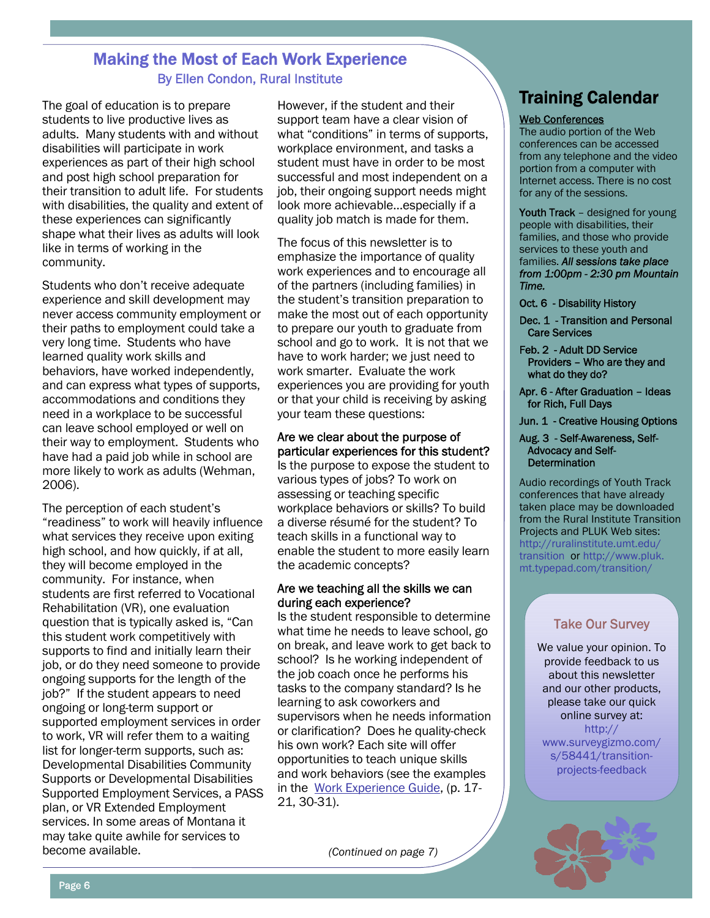## Making the Most of Each Work Experience By Ellen Condon, Rural Institute

The goal of education is to prepare students to live productive lives as adults. Many students with and without disabilities will participate in work experiences as part of their high school and post high school preparation for their transition to adult life. For students with disabilities, the quality and extent of these experiences can significantly shape what their lives as adults will look like in terms of working in the community.

Students who don't receive adequate experience and skill development may never access community employment or their paths to employment could take a very long time. Students who have learned quality work skills and behaviors, have worked independently, and can express what types of supports, accommodations and conditions they need in a workplace to be successful can leave school employed or well on their way to employment. Students who have had a paid job while in school are more likely to work as adults (Wehman, 2006).

The perception of each student's "readiness" to work will heavily influence what services they receive upon exiting high school, and how quickly, if at all, they will become employed in the community. For instance, when students are first referred to Vocational Rehabilitation (VR), one evaluation question that is typically asked is, "Can this student work competitively with supports to find and initially learn their job, or do they need someone to provide ongoing supports for the length of the job?" If the student appears to need ongoing or long-term support or supported employment services in order to work, VR will refer them to a waiting list for longer-term supports, such as: Developmental Disabilities Community Supports or Developmental Disabilities Supported Employment Services, a PASS plan, or VR Extended Employment services. In some areas of Montana it may take quite awhile for services to become available.

However, if the student and their support team have a clear vision of what "conditions" in terms of supports, workplace environment, and tasks a student must have in order to be most successful and most independent on a job, their ongoing support needs might look more achievable…especially if a quality job match is made for them.

The focus of this newsletter is to emphasize the importance of quality work experiences and to encourage all of the partners (including families) in the student's transition preparation to make the most out of each opportunity to prepare our youth to graduate from school and go to work. It is not that we have to work harder; we just need to work smarter. Evaluate the work experiences you are providing for youth or that your child is receiving by asking your team these questions:

#### Are we clear about the purpose of particular experiences for this student?

Is the purpose to expose the student to various types of jobs? To work on assessing or teaching specific workplace behaviors or skills? To build a diverse résumé for the student? To teach skills in a functional way to enable the student to more easily learn the academic concepts?

#### Are we teaching all the skills we can during each experience?

Is the student responsible to determine what time he needs to leave school, go on break, and leave work to get back to school? Is he working independent of the job coach once he performs his tasks to the company standard? Is he learning to ask coworkers and supervisors when he needs information or clarification? Does he quality-check his own work? Each site will offer opportunities to teach unique skills and work behaviors (see the examples in the [Work Experience Guide,](http://ruralinstitute.umt.edu/transition/Articles/RIWorkExperience_Manual.pdf) (p. 17- 21, 30-31).

 *(Continued on page 7)*

# Training Calendar

#### Web Conferences

The audio portion of the Web conferences can be accessed from any telephone and the video portion from a computer with Internet access. There is no cost for any of the sessions.

Youth Track - designed for young people with disabilities, their families, and those who provide services to these youth and families. *All sessions take place from 1:00pm - 2:30 pm Mountain Time.* 

Oct. 6 - Disability History

- Dec. 1 Transition and Personal Care Services
- Feb. 2 Adult DD Service Providers – Who are they and what do they do?
- Apr. 6 After Graduation Ideas for Rich, Full Days
- Jun. 1 Creative Housing Options
- Aug. 3 Self-Awareness, Self-Advocacy and Self-**Determination**

Audio recordings of Youth Track conferences that have already taken place may be downloaded from the Rural Institute Transition Projects and PLUK Web sites: [http://ruralinstitute.umt.edu/](http://ruralinstitute.umt.edu/transition) [transition or http://www.pluk.](http://www.pluk.mt.typepad.com/transition/) mt.typepad.com/transition/

## Take Our Survey

We value your opinion. To provide feedback to us about this newsletter and our other products, please take our quick online survey at: http:// www.surveygizmo.com/ s/58441/transitionprojects-feedback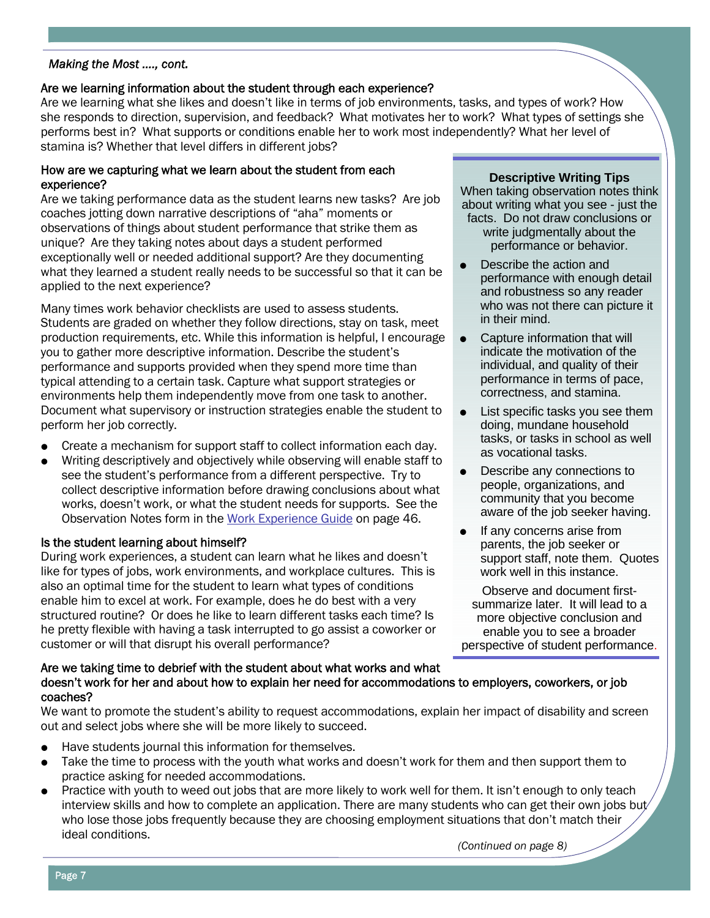#### *Making the Most …., cont.*

#### Are we learning information about the student through each experience?

Are we learning what she likes and doesn't like in terms of job environments, tasks, and types of work? How she responds to direction, supervision, and feedback? What motivates her to work? What types of settings she performs best in? What supports or conditions enable her to work most independently? What her level of stamina is? Whether that level differs in different jobs?

#### How are we capturing what we learn about the student from each experience?

Are we taking performance data as the student learns new tasks? Are job coaches jotting down narrative descriptions of "aha" moments or observations of things about student performance that strike them as unique? Are they taking notes about days a student performed exceptionally well or needed additional support? Are they documenting what they learned a student really needs to be successful so that it can be applied to the next experience?

Many times work behavior checklists are used to assess students. Students are graded on whether they follow directions, stay on task, meet production requirements, etc. While this information is helpful, I encourage you to gather more descriptive information. Describe the student's performance and supports provided when they spend more time than typical attending to a certain task. Capture what support strategies or environments help them independently move from one task to another. Document what supervisory or instruction strategies enable the student to perform her job correctly.

- Create a mechanism for support staff to collect information each day.
- Writing descriptively and objectively while observing will enable staff to see the student's performance from a different perspective. Try to collect descriptive information before drawing conclusions about what works, doesn't work, or what the student needs for supports. See the Observation Notes form in the [Work Experience Guide](http://ruralinstitute.umt.edu/transition/Articles/RIWorkExperience_Manual.pdf) on page 46.

#### Is the student learning about himself?

During work experiences, a student can learn what he likes and doesn't like for types of jobs, work environments, and workplace cultures. This is also an optimal time for the student to learn what types of conditions enable him to excel at work. For example, does he do best with a very structured routine? Or does he like to learn different tasks each time? Is he pretty flexible with having a task interrupted to go assist a coworker or customer or will that disrupt his overall performance?

#### **Descriptive Writing Tips**

When taking observation notes think about writing what you see - just the facts. Do not draw conclusions or write judgmentally about the performance or behavior.

- Describe the action and performance with enough detail and robustness so any reader who was not there can picture it in their mind.
- $\bullet$  Capture information that will indicate the motivation of the individual, and quality of their performance in terms of pace, correctness, and stamina.
- $\bullet$  List specific tasks you see them doing, mundane household tasks, or tasks in school as well as vocational tasks.
- Describe any connections to people, organizations, and community that you become aware of the job seeker having.
- If any concerns arise from parents, the job seeker or support staff, note them. Quotes work well in this instance.

Observe and document firstsummarize later. It will lead to a more objective conclusion and enable you to see a broader perspective of student performance.

#### Are we taking time to debrief with the student about what works and what doesn't work for her and about how to explain her need for accommodations to employers, coworkers, or job coaches?

We want to promote the student's ability to request accommodations, explain her impact of disability and screen out and select jobs where she will be more likely to succeed.

- Have students journal this information for themselves.
- Take the time to process with the youth what works and doesn't work for them and then support them to practice asking for needed accommodations.
- Practice with youth to weed out jobs that are more likely to work well for them. It isn't enough to only teach interview skills and how to complete an application. There are many students who can get their own jobs but/ who lose those jobs frequently because they are choosing employment situations that don't match their ideal conditions. *(Continued on page 8)*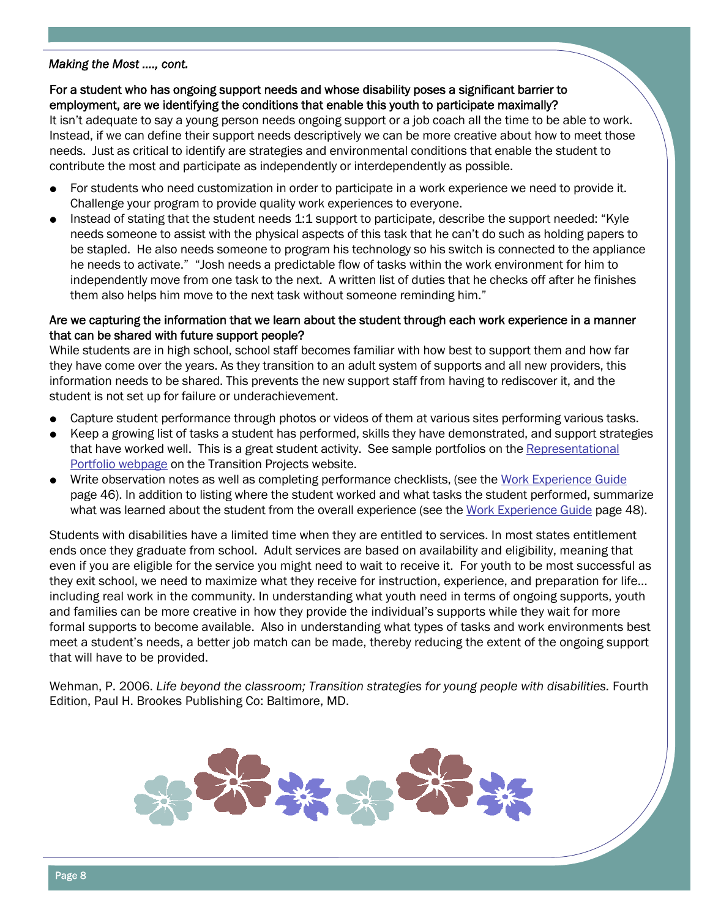#### *Making the Most …., cont.*

#### For a student who has ongoing support needs and whose disability poses a significant barrier to employment, are we identifying the conditions that enable this youth to participate maximally?

It isn't adequate to say a young person needs ongoing support or a job coach all the time to be able to work. Instead, if we can define their support needs descriptively we can be more creative about how to meet those needs. Just as critical to identify are strategies and environmental conditions that enable the student to contribute the most and participate as independently or interdependently as possible.

- $\bullet$  For students who need customization in order to participate in a work experience we need to provide it. Challenge your program to provide quality work experiences to everyone.
- Instead of stating that the student needs 1:1 support to participate, describe the support needed: "Kyle needs someone to assist with the physical aspects of this task that he can't do such as holding papers to be stapled. He also needs someone to program his technology so his switch is connected to the appliance he needs to activate." "Josh needs a predictable flow of tasks within the work environment for him to independently move from one task to the next. A written list of duties that he checks off after he finishes them also helps him move to the next task without someone reminding him."

#### Are we capturing the information that we learn about the student through each work experience in a manner that can be shared with future support people?

While students are in high school, school staff becomes familiar with how best to support them and how far they have come over the years. As they transition to an adult system of supports and all new providers, this information needs to be shared. This prevents the new support staff from having to rediscover it, and the student is not set up for failure or underachievement.

- Capture student performance through photos or videos of them at various sites performing various tasks.
- $\bullet$  Keep a growing list of tasks a student has performed, skills they have demonstrated, and support strategies [that have worked well. This is a great student activity. See sample portfolios on the Representational](http://ruralinstitute.umt.edu/transition/portfolio.asp) Portfolio webpage on the Transition Projects website.
- Write observation notes as well as completing performance checklists, (see the [Work Experience Guide](http://ruralinstitute.umt.edu/transition/Articles/RIWorkExperience_Manual.pdf) page 46). In addition to listing where the student worked and what tasks the student performed, summarize what was learned about the student from the overall experience (see the [Work Experience Guide](http://ruralinstitute.umt.edu/transition/Articles/RIWorkExperience_Manual.pdf) page 48).

Students with disabilities have a limited time when they are entitled to services. In most states entitlement ends once they graduate from school. Adult services are based on availability and eligibility, meaning that even if you are eligible for the service you might need to wait to receive it. For youth to be most successful as they exit school, we need to maximize what they receive for instruction, experience, and preparation for life… including real work in the community. In understanding what youth need in terms of ongoing supports, youth and families can be more creative in how they provide the individual's supports while they wait for more formal supports to become available. Also in understanding what types of tasks and work environments best meet a student's needs, a better job match can be made, thereby reducing the extent of the ongoing support that will have to be provided.

Wehman, P. 2006. *Life beyond the classroom; Transition strategies for young people with disabilities.* Fourth Edition, Paul H. Brookes Publishing Co: Baltimore, MD.

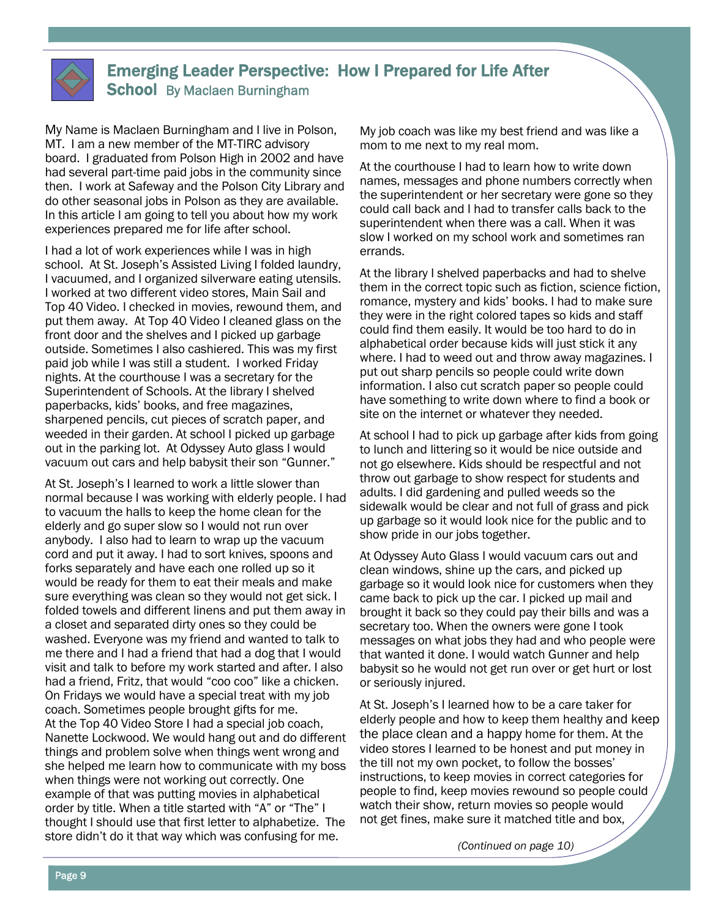

## Emerging Leader Perspective: How I Prepared for Life After School By Maclaen Burningham

My Name is Maclaen Burningham and I live in Polson, MT. I am a new member of the MT-TIRC advisory board. I graduated from Polson High in 2002 and have had several part-time paid jobs in the community since then. I work at Safeway and the Polson City Library and do other seasonal jobs in Polson as they are available. In this article I am going to tell you about how my work experiences prepared me for life after school.

I had a lot of work experiences while I was in high school. At St. Joseph's Assisted Living I folded laundry, I vacuumed, and I organized silverware eating utensils. I worked at two different video stores, Main Sail and Top 40 Video. I checked in movies, rewound them, and put them away. At Top 40 Video I cleaned glass on the front door and the shelves and I picked up garbage outside. Sometimes I also cashiered. This was my first paid job while I was still a student. I worked Friday nights. At the courthouse I was a secretary for the Superintendent of Schools. At the library I shelved paperbacks, kids' books, and free magazines, sharpened pencils, cut pieces of scratch paper, and weeded in their garden. At school I picked up garbage out in the parking lot. At Odyssey Auto glass I would vacuum out cars and help babysit their son "Gunner."

At St. Joseph's I learned to work a little slower than normal because I was working with elderly people. I had to vacuum the halls to keep the home clean for the elderly and go super slow so I would not run over anybody. I also had to learn to wrap up the vacuum cord and put it away. I had to sort knives, spoons and forks separately and have each one rolled up so it would be ready for them to eat their meals and make sure everything was clean so they would not get sick. I folded towels and different linens and put them away in a closet and separated dirty ones so they could be washed. Everyone was my friend and wanted to talk to me there and I had a friend that had a dog that I would visit and talk to before my work started and after. I also had a friend, Fritz, that would "coo coo" like a chicken. On Fridays we would have a special treat with my job coach. Sometimes people brought gifts for me. At the Top 40 Video Store I had a special job coach, Nanette Lockwood. We would hang out and do different things and problem solve when things went wrong and she helped me learn how to communicate with my boss when things were not working out correctly. One example of that was putting movies in alphabetical order by title. When a title started with "A" or "The" I thought I should use that first letter to alphabetize. The store didn't do it that way which was confusing for me.

My job coach was like my best friend and was like a mom to me next to my real mom.

At the courthouse I had to learn how to write down names, messages and phone numbers correctly when the superintendent or her secretary were gone so they could call back and I had to transfer calls back to the superintendent when there was a call. When it was slow I worked on my school work and sometimes ran errands.

At the library I shelved paperbacks and had to shelve them in the correct topic such as fiction, science fiction, romance, mystery and kids' books. I had to make sure they were in the right colored tapes so kids and staff could find them easily. It would be too hard to do in alphabetical order because kids will just stick it any where. I had to weed out and throw away magazines. I put out sharp pencils so people could write down information. I also cut scratch paper so people could have something to write down where to find a book or site on the internet or whatever they needed.

At school I had to pick up garbage after kids from going to lunch and littering so it would be nice outside and not go elsewhere. Kids should be respectful and not throw out garbage to show respect for students and adults. I did gardening and pulled weeds so the sidewalk would be clear and not full of grass and pick up garbage so it would look nice for the public and to show pride in our jobs together.

At Odyssey Auto Glass I would vacuum cars out and clean windows, shine up the cars, and picked up garbage so it would look nice for customers when they came back to pick up the car. I picked up mail and brought it back so they could pay their bills and was a secretary too. When the owners were gone I took messages on what jobs they had and who people were that wanted it done. I would watch Gunner and help babysit so he would not get run over or get hurt or lost or seriously injured.

At St. Joseph's I learned how to be a care taker for elderly people and how to keep them healthy and keep the place clean and a happy home for them. At the video stores I learned to be honest and put money in the till not my own pocket, to follow the bosses' instructions, to keep movies in correct categories for people to find, keep movies rewound so people could watch their show, return movies so people would not get fines, make sure it matched title and box,

 *(Continued on page 10)*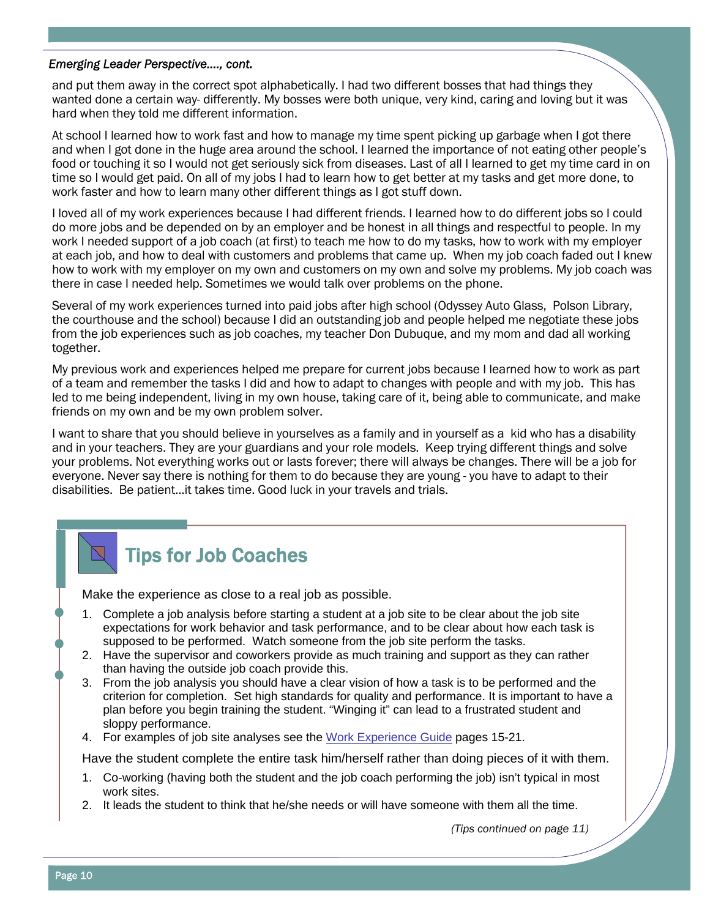#### *Emerging Leader Perspective…., cont.*

and put them away in the correct spot alphabetically. I had two different bosses that had things they wanted done a certain way- differently. My bosses were both unique, very kind, caring and loving but it was hard when they told me different information.

At school I learned how to work fast and how to manage my time spent picking up garbage when I got there and when I got done in the huge area around the school. I learned the importance of not eating other people's food or touching it so I would not get seriously sick from diseases. Last of all I learned to get my time card in on time so I would get paid. On all of my jobs I had to learn how to get better at my tasks and get more done, to work faster and how to learn many other different things as I got stuff down.

I loved all of my work experiences because I had different friends. I learned how to do different jobs so I could do more jobs and be depended on by an employer and be honest in all things and respectful to people. In my work I needed support of a job coach (at first) to teach me how to do my tasks, how to work with my employer at each job, and how to deal with customers and problems that came up. When my job coach faded out I knew how to work with my employer on my own and customers on my own and solve my problems. My job coach was there in case I needed help. Sometimes we would talk over problems on the phone.

Several of my work experiences turned into paid jobs after high school (Odyssey Auto Glass, Polson Library, the courthouse and the school) because I did an outstanding job and people helped me negotiate these jobs from the job experiences such as job coaches, my teacher Don Dubuque, and my mom and dad all working together.

My previous work and experiences helped me prepare for current jobs because I learned how to work as part of a team and remember the tasks I did and how to adapt to changes with people and with my job. This has led to me being independent, living in my own house, taking care of it, being able to communicate, and make friends on my own and be my own problem solver.

I want to share that you should believe in yourselves as a family and in yourself as a kid who has a disability and in your teachers. They are your guardians and your role models. Keep trying different things and solve your problems. Not everything works out or lasts forever; there will always be changes. There will be a job for everyone. Never say there is nothing for them to do because they are young - you have to adapt to their disabilities. Be patient...it takes time. Good luck in your travels and trials.

# Tips for Job Coaches

Make the experience as close to a real job as possible.

- 1. Complete a job analysis before starting a student at a job site to be clear about the job site expectations for work behavior and task performance, and to be clear about how each task is supposed to be performed. Watch someone from the job site perform the tasks.
- 2. Have the supervisor and coworkers provide as much training and support as they can rather than having the outside job coach provide this.
- 3. From the job analysis you should have a clear vision of how a task is to be performed and the criterion for completion. Set high standards for quality and performance. It is important to have a plan before you begin training the student. "Winging it" can lead to a frustrated student and sloppy performance.
- 4. For examples of job site analyses see the [Work Experience Guide](http://ruralinstitute.umt.edu/transition/Articles/RIWorkExperience_Manual.pdf) pages 15-21.

Have the student complete the entire task him/herself rather than doing pieces of it with them.

- 1. Co-working (having both the student and the job coach performing the job) isn't typical in most work sites.
- 2. It leads the student to think that he/she needs or will have someone with them all the time.

 *(Tips continued on page 11)*